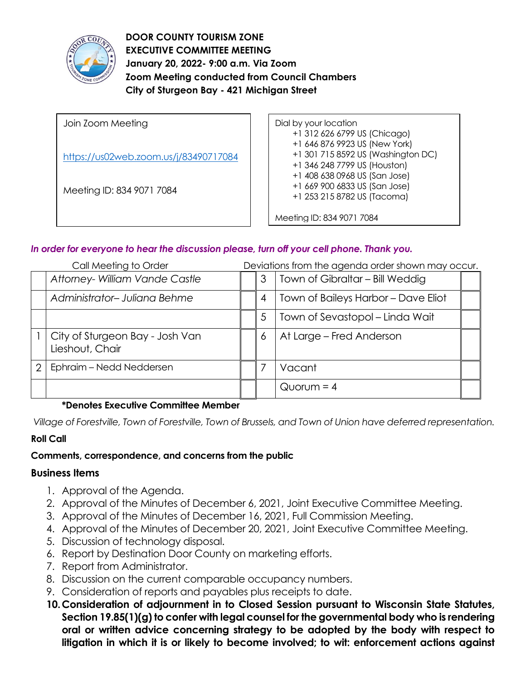

**DOOR COUNTY TOURISM ZONE EXECUTIVE COMMITTEE MEETING January 20, 2022- 9:00 a.m. Via Zoom Zoom Meeting conducted from Council Chambers City of Sturgeon Bay - 421 Michigan Street** 

Join Zoom Meeting <https://us02web.zoom.us/j/83490717084> Meeting ID: 834 9071 7084 Dial by your location +1 312 626 6799 US (Chicago) +1 646 876 9923 US (New York) +1 301 715 8592 US (Washington DC) +1 346 248 7799 US (Houston) +1 408 638 0968 US (San Jose) +1 669 900 6833 US (San Jose) +1 253 215 8782 US (Tacoma) Meeting ID: 834 9071 7084

### *In order for everyone to hear the discussion please, turn off your cell phone. Thank you.*

| Call Meeting to Order |                                                    | Deviations from the agenda order shown may occur. |                                     |  |
|-----------------------|----------------------------------------------------|---------------------------------------------------|-------------------------------------|--|
|                       | Attorney- William Vande Castle                     | 3                                                 | Town of Gibraltar - Bill Weddig     |  |
|                       | Administrator-Juliana Behme                        | 4                                                 | Town of Baileys Harbor - Dave Eliot |  |
|                       |                                                    | 5                                                 | Town of Sevastopol – Linda Wait     |  |
|                       | City of Sturgeon Bay - Josh Van<br>Lieshout, Chair | 6                                                 | At Large - Fred Anderson            |  |
| 2                     | Ephraim - Nedd Neddersen                           |                                                   | Vacant                              |  |
|                       |                                                    |                                                   | $Quorum = 4$                        |  |

### **\*Denotes Executive Committee Member**

*Village of Forestville, Town of Forestville, Town of Brussels, and Town of Union have deferred representation.*

### **Roll Call**

### **Comments, correspondence, and concerns from the public**

### **Business Items**

- 1. Approval of the Agenda.
- 2. Approval of the Minutes of December 6, 2021, Joint Executive Committee Meeting.
- 3. Approval of the Minutes of December 16, 2021, Full Commission Meeting.
- 4. Approval of the Minutes of December 20, 2021, Joint Executive Committee Meeting.
- 5. Discussion of technology disposal.
- 6. Report by Destination Door County on marketing efforts.
- 7. Report from Administrator.
- 8. Discussion on the current comparable occupancy numbers.
- 9. Consideration of reports and payables plus receipts to date.
- **10.Consideration of adjournment in to Closed Session pursuant to Wisconsin State Statutes, Section 19.85(1)(g) to confer with legal counsel for the governmental body who is rendering oral or written advice concerning strategy to be adopted by the body with respect to litigation in which it is or likely to become involved; to wit: enforcement actions against**